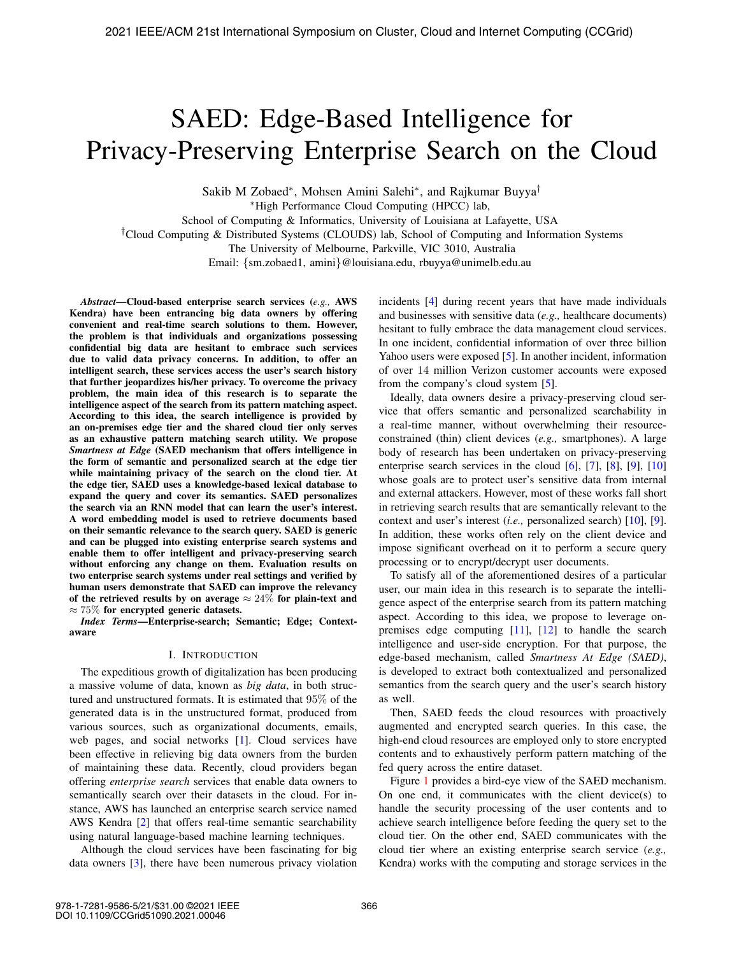# SAED: Edge-Based Intelligence for Privacy-Preserving Enterprise Search on the Cloud

Sakib M Zobaed<sup>∗</sup>, Mohsen Amini Salehi<sup>∗</sup>, and Rajkumar Buyya<sup>†</sup> <sup>∗</sup>High Performance Cloud Computing (HPCC) lab,

School of Computing & Informatics, University of Louisiana at Lafayette, USA

†Cloud Computing & Distributed Systems (CLOUDS) lab, School of Computing and Information Systems

The University of Melbourne, Parkville, VIC 3010, Australia

Email: {sm.zobaed1, amini}@louisiana.edu, rbuyya@unimelb.edu.au

*Abstract*—Cloud-based enterprise search services (*e.g.,* AWS Kendra) have been entrancing big data owners by offering convenient and real-time search solutions to them. However, the problem is that individuals and organizations possessing confidential big data are hesitant to embrace such services due to valid data privacy concerns. In addition, to offer an intelligent search, these services access the user's search history that further jeopardizes his/her privacy. To overcome the privacy problem, the main idea of this research is to separate the intelligence aspect of the search from its pattern matching aspect. According to this idea, the search intelligence is provided by an on-premises edge tier and the shared cloud tier only serves as an exhaustive pattern matching search utility. We propose *Smartness at Edge* (SAED mechanism that offers intelligence in the form of semantic and personalized search at the edge tier while maintaining privacy of the search on the cloud tier. At the edge tier, SAED uses a knowledge-based lexical database to expand the query and cover its semantics. SAED personalizes the search via an RNN model that can learn the user's interest. A word embedding model is used to retrieve documents based on their semantic relevance to the search query. SAED is generic and can be plugged into existing enterprise search systems and enable them to offer intelligent and privacy-preserving search without enforcing any change on them. Evaluation results on two enterprise search systems under real settings and verified by human users demonstrate that SAED can improve the relevancy of the retrieved results by on average  $\approx 24\%$  for plain-text and  $\approx 75\%$  for encrypted generic datasets.

*Index Terms*—Enterprise-search; Semantic; Edge; Contextaware

## I. INTRODUCTION

The expeditious growth of digitalization has been producing a massive volume of data, known as *big data*, in both structured and unstructured formats. It is estimated that 95% of the generated data is in the unstructured format, produced from various sources, such as organizational documents, emails, web pages, and social networks [1]. Cloud services have been effective in relieving big data owners from the burden of maintaining these data. Recently, cloud providers began offering *enterprise search* services that enable data owners to semantically search over their datasets in the cloud. For instance, AWS has launched an enterprise search service named AWS Kendra [2] that offers real-time semantic searchability using natural language-based machine learning techniques.

Although the cloud services have been fascinating for big data owners [3], there have been numerous privacy violation incidents [4] during recent years that have made individuals and businesses with sensitive data (*e.g.,* healthcare documents) hesitant to fully embrace the data management cloud services. In one incident, confidential information of over three billion Yahoo users were exposed [5]. In another incident, information of over 14 million Verizon customer accounts were exposed from the company's cloud system [5].

Ideally, data owners desire a privacy-preserving cloud service that offers semantic and personalized searchability in a real-time manner, without overwhelming their resourceconstrained (thin) client devices (*e.g.,* smartphones). A large body of research has been undertaken on privacy-preserving enterprise search services in the cloud  $[6]$ ,  $[7]$ ,  $[8]$ ,  $[9]$ ,  $[10]$ whose goals are to protect user's sensitive data from internal and external attackers. However, most of these works fall short in retrieving search results that are semantically relevant to the context and user's interest (*i.e.,* personalized search) [10], [9]. In addition, these works often rely on the client device and impose significant overhead on it to perform a secure query processing or to encrypt/decrypt user documents.

To satisfy all of the aforementioned desires of a particular user, our main idea in this research is to separate the intelligence aspect of the enterprise search from its pattern matching aspect. According to this idea, we propose to leverage onpremises edge computing [11], [12] to handle the search intelligence and user-side encryption. For that purpose, the edge-based mechanism, called *Smartness At Edge (SAED)*, is developed to extract both contextualized and personalized semantics from the search query and the user's search history as well.

Then, SAED feeds the cloud resources with proactively augmented and encrypted search queries. In this case, the high-end cloud resources are employed only to store encrypted contents and to exhaustively perform pattern matching of the fed query across the entire dataset.

Figure 1 provides a bird-eye view of the SAED mechanism. On one end, it communicates with the client device(s) to handle the security processing of the user contents and to achieve search intelligence before feeding the query set to the cloud tier. On the other end, SAED communicates with the cloud tier where an existing enterprise search service (*e.g.,* Kendra) works with the computing and storage services in the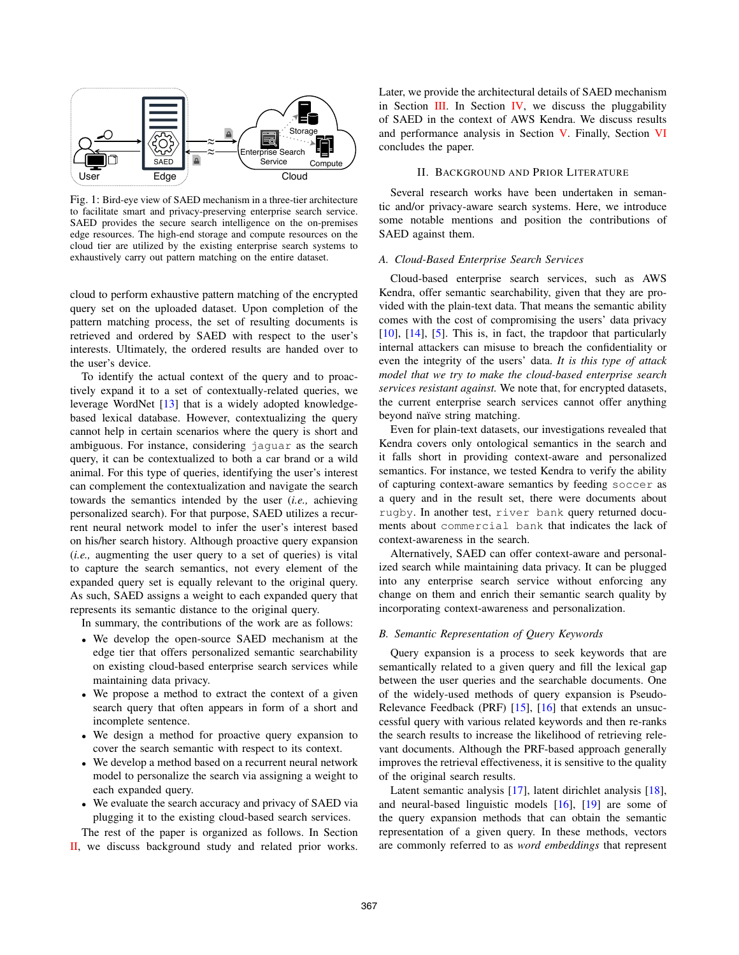

Fig. 1: Bird-eye view of SAED mechanism in a three-tier architecture to facilitate smart and privacy-preserving enterprise search service. SAED provides the secure search intelligence on the on-premises edge resources. The high-end storage and compute resources on the cloud tier are utilized by the existing enterprise search systems to exhaustively carry out pattern matching on the entire dataset.

cloud to perform exhaustive pattern matching of the encrypted query set on the uploaded dataset. Upon completion of the pattern matching process, the set of resulting documents is retrieved and ordered by SAED with respect to the user's interests. Ultimately, the ordered results are handed over to the user's device.

To identify the actual context of the query and to proactively expand it to a set of contextually-related queries, we leverage WordNet [13] that is a widely adopted knowledgebased lexical database. However, contextualizing the query cannot help in certain scenarios where the query is short and ambiguous. For instance, considering jaguar as the search query, it can be contextualized to both a car brand or a wild animal. For this type of queries, identifying the user's interest can complement the contextualization and navigate the search towards the semantics intended by the user (*i.e.,* achieving personalized search). For that purpose, SAED utilizes a recurrent neural network model to infer the user's interest based on his/her search history. Although proactive query expansion (*i.e.,* augmenting the user query to a set of queries) is vital to capture the search semantics, not every element of the expanded query set is equally relevant to the original query. As such, SAED assigns a weight to each expanded query that represents its semantic distance to the original query.

In summary, the contributions of the work are as follows:

- We develop the open-source SAED mechanism at the edge tier that offers personalized semantic searchability on existing cloud-based enterprise search services while maintaining data privacy.
- We propose a method to extract the context of a given search query that often appears in form of a short and incomplete sentence.
- We design a method for proactive query expansion to cover the search semantic with respect to its context.
- We develop a method based on a recurrent neural network model to personalize the search via assigning a weight to each expanded query.
- We evaluate the search accuracy and privacy of SAED via plugging it to the existing cloud-based search services.

The rest of the paper is organized as follows. In Section II, we discuss background study and related prior works. Later, we provide the architectural details of SAED mechanism in Section  $III$ . In Section IV, we discuss the pluggability of SAED in the context of AWS Kendra. We discuss results and performance analysis in Section V. Finally, Section VI concludes the paper.

## II. BACKGROUND AND PRIOR LITERATURE

Several research works have been undertaken in semantic and/or privacy-aware search systems. Here, we introduce some notable mentions and position the contributions of SAED against them.

#### *A. Cloud-Based Enterprise Search Services*

Cloud-based enterprise search services, such as AWS Kendra, offer semantic searchability, given that they are provided with the plain-text data. That means the semantic ability comes with the cost of compromising the users' data privacy [10], [14], [5]. This is, in fact, the trapdoor that particularly internal attackers can misuse to breach the confidentiality or even the integrity of the users' data. *It is this type of attack model that we try to make the cloud-based enterprise search services resistant against.* We note that, for encrypted datasets, the current enterprise search services cannot offer anything beyond naïve string matching.

Even for plain-text datasets, our investigations revealed that Kendra covers only ontological semantics in the search and it falls short in providing context-aware and personalized semantics. For instance, we tested Kendra to verify the ability of capturing context-aware semantics by feeding soccer as a query and in the result set, there were documents about rugby. In another test, river bank query returned documents about commercial bank that indicates the lack of context-awareness in the search.

Alternatively, SAED can offer context-aware and personalized search while maintaining data privacy. It can be plugged into any enterprise search service without enforcing any change on them and enrich their semantic search quality by incorporating context-awareness and personalization.

## *B. Semantic Representation of Query Keywords*

Query expansion is a process to seek keywords that are semantically related to a given query and fill the lexical gap between the user queries and the searchable documents. One of the widely-used methods of query expansion is Pseudo-Relevance Feedback (PRF) [15], [16] that extends an unsuccessful query with various related keywords and then re-ranks the search results to increase the likelihood of retrieving relevant documents. Although the PRF-based approach generally improves the retrieval effectiveness, it is sensitive to the quality of the original search results.

Latent semantic analysis [17], latent dirichlet analysis [18], and neural-based linguistic models [16], [19] are some of the query expansion methods that can obtain the semantic representation of a given query. In these methods, vectors are commonly referred to as *word embeddings* that represent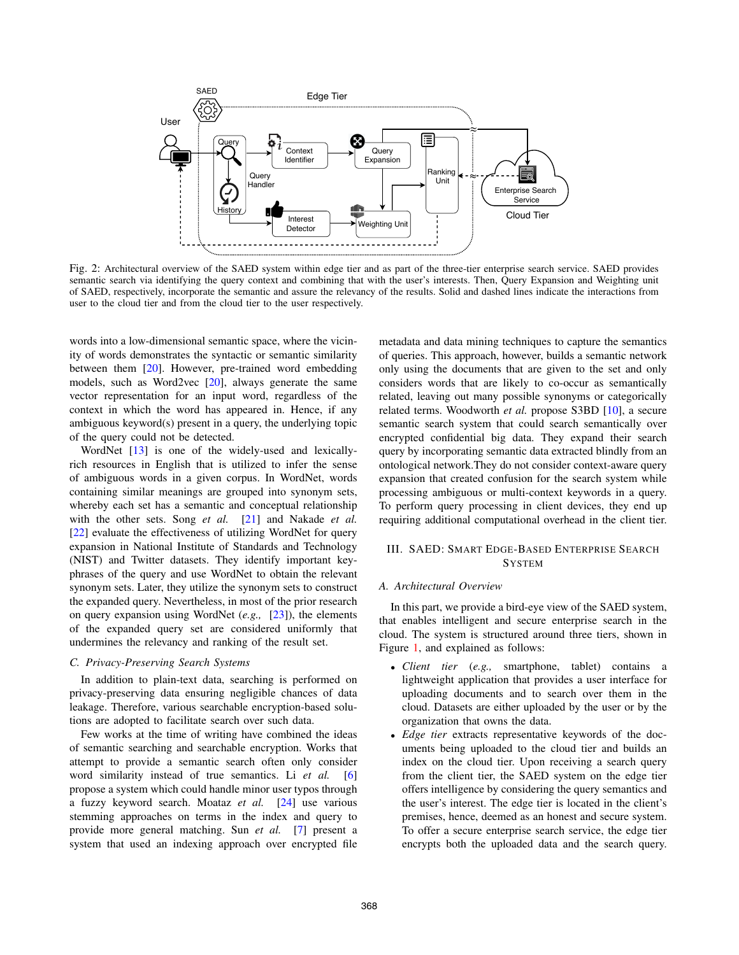

Fig. 2: Architectural overview of the SAED system within edge tier and as part of the three-tier enterprise search service. SAED provides semantic search via identifying the query context and combining that with the user's interests. Then, Query Expansion and Weighting unit of SAED, respectively, incorporate the semantic and assure the relevancy of the results. Solid and dashed lines indicate the interactions from user to the cloud tier and from the cloud tier to the user respectively.

words into a low-dimensional semantic space, where the vicinity of words demonstrates the syntactic or semantic similarity between them [20]. However, pre-trained word embedding models, such as Word2vec [20], always generate the same vector representation for an input word, regardless of the context in which the word has appeared in. Hence, if any ambiguous keyword(s) present in a query, the underlying topic of the query could not be detected.

WordNet [13] is one of the widely-used and lexicallyrich resources in English that is utilized to infer the sense of ambiguous words in a given corpus. In WordNet, words containing similar meanings are grouped into synonym sets, whereby each set has a semantic and conceptual relationship with the other sets. Song *et al.* [21] and Nakade *et al.* [22] evaluate the effectiveness of utilizing WordNet for query expansion in National Institute of Standards and Technology (NIST) and Twitter datasets. They identify important keyphrases of the query and use WordNet to obtain the relevant synonym sets. Later, they utilize the synonym sets to construct the expanded query. Nevertheless, in most of the prior research on query expansion using WordNet (*e.g.,* [23]), the elements of the expanded query set are considered uniformly that undermines the relevancy and ranking of the result set.

## *C. Privacy-Preserving Search Systems*

In addition to plain-text data, searching is performed on privacy-preserving data ensuring negligible chances of data leakage. Therefore, various searchable encryption-based solutions are adopted to facilitate search over such data.

Few works at the time of writing have combined the ideas of semantic searching and searchable encryption. Works that attempt to provide a semantic search often only consider word similarity instead of true semantics. Li *et al.* [6] propose a system which could handle minor user typos through a fuzzy keyword search. Moataz *et al.* [24] use various stemming approaches on terms in the index and query to provide more general matching. Sun *et al.* [7] present a system that used an indexing approach over encrypted file metadata and data mining techniques to capture the semantics of queries. This approach, however, builds a semantic network only using the documents that are given to the set and only considers words that are likely to co-occur as semantically related, leaving out many possible synonyms or categorically related terms. Woodworth *et al.* propose S3BD [10], a secure semantic search system that could search semantically over encrypted confidential big data. They expand their search query by incorporating semantic data extracted blindly from an ontological network.They do not consider context-aware query expansion that created confusion for the search system while processing ambiguous or multi-context keywords in a query. To perform query processing in client devices, they end up requiring additional computational overhead in the client tier.

## III. SAED: SMART EDGE-BASED ENTERPRISE SEARCH **SYSTEM**

## *A. Architectural Overview*

In this part, we provide a bird-eye view of the SAED system, that enables intelligent and secure enterprise search in the cloud. The system is structured around three tiers, shown in Figure 1, and explained as follows:

- *Client tier* (*e.g.,* smartphone, tablet) contains a lightweight application that provides a user interface for uploading documents and to search over them in the cloud. Datasets are either uploaded by the user or by the organization that owns the data.
- *Edge tier* extracts representative keywords of the documents being uploaded to the cloud tier and builds an index on the cloud tier. Upon receiving a search query from the client tier, the SAED system on the edge tier offers intelligence by considering the query semantics and the user's interest. The edge tier is located in the client's premises, hence, deemed as an honest and secure system. To offer a secure enterprise search service, the edge tier encrypts both the uploaded data and the search query.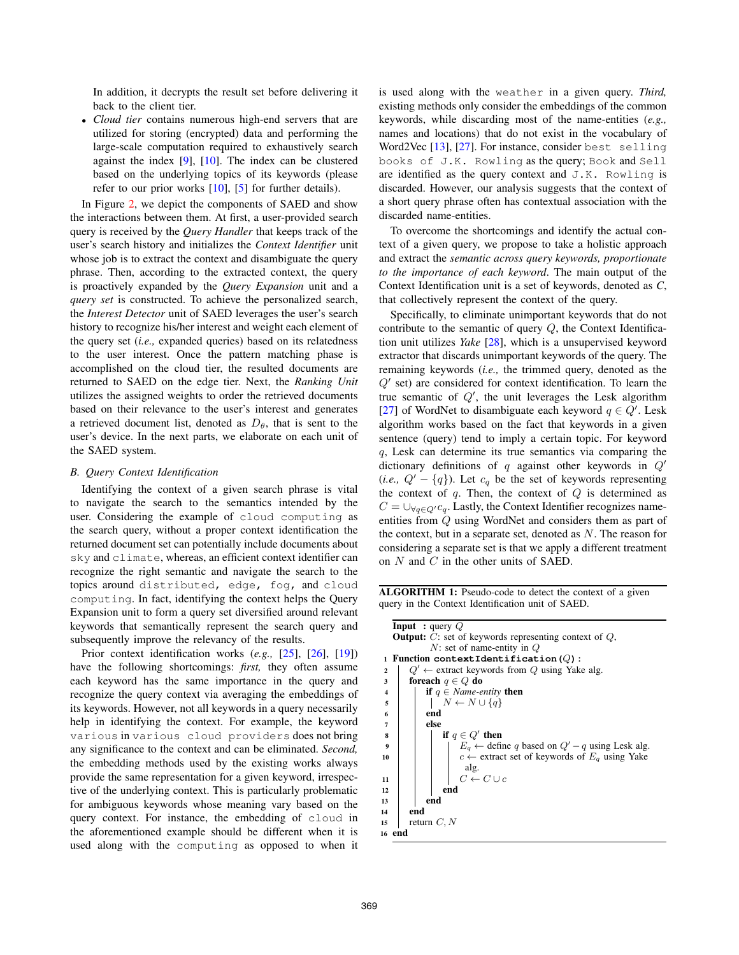In addition, it decrypts the result set before delivering it back to the client tier.

• *Cloud tier* contains numerous high-end servers that are utilized for storing (encrypted) data and performing the large-scale computation required to exhaustively search against the index  $[9]$ ,  $[10]$ . The index can be clustered based on the underlying topics of its keywords (please refer to our prior works  $[10]$ ,  $[5]$  for further details).

In Figure 2, we depict the components of SAED and show the interactions between them. At first, a user-provided search query is received by the *Query Handler* that keeps track of the user's search history and initializes the *Context Identifier* unit whose job is to extract the context and disambiguate the query phrase. Then, according to the extracted context, the query is proactively expanded by the *Query Expansion* unit and a *query set* is constructed. To achieve the personalized search, the *Interest Detector* unit of SAED leverages the user's search history to recognize his/her interest and weight each element of the query set (*i.e.,* expanded queries) based on its relatedness to the user interest. Once the pattern matching phase is accomplished on the cloud tier, the resulted documents are returned to SAED on the edge tier. Next, the *Ranking Unit* utilizes the assigned weights to order the retrieved documents based on their relevance to the user's interest and generates a retrieved document list, denoted as  $D_{\theta}$ , that is sent to the user's device. In the next parts, we elaborate on each unit of the SAED system.

## *B. Query Context Identification*

Identifying the context of a given search phrase is vital to navigate the search to the semantics intended by the user. Considering the example of cloud computing as the search query, without a proper context identification the returned document set can potentially include documents about sky and climate, whereas, an efficient context identifier can recognize the right semantic and navigate the search to the topics around distributed, edge, fog, and cloud computing. In fact, identifying the context helps the Query Expansion unit to form a query set diversified around relevant keywords that semantically represent the search query and subsequently improve the relevancy of the results.

Prior context identification works (*e.g.,* [25], [26], [19]) have the following shortcomings: *first,* they often assume each keyword has the same importance in the query and recognize the query context via averaging the embeddings of its keywords. However, not all keywords in a query necessarily help in identifying the context. For example, the keyword various in various cloud providers does not bring any significance to the context and can be eliminated. *Second,* the embedding methods used by the existing works always provide the same representation for a given keyword, irrespective of the underlying context. This is particularly problematic for ambiguous keywords whose meaning vary based on the query context. For instance, the embedding of cloud in the aforementioned example should be different when it is used along with the computing as opposed to when it is used along with the weather in a given query. *Third,* existing methods only consider the embeddings of the common keywords, while discarding most of the name-entities (*e.g.,* names and locations) that do not exist in the vocabulary of Word2Vec [13], [27]. For instance, consider best selling books of J.K. Rowling as the query; Book and Sell are identified as the query context and  $J.K.$  Rowling is discarded. However, our analysis suggests that the context of a short query phrase often has contextual association with the discarded name-entities.

To overcome the shortcomings and identify the actual context of a given query, we propose to take a holistic approach and extract the *semantic across query keywords, proportionate to the importance of each keyword*. The main output of the Context Identification unit is a set of keywords, denoted as *C*, that collectively represent the context of the query.

Specifically, to eliminate unimportant keywords that do not contribute to the semantic of query  $Q$ , the Context Identification unit utilizes *Yake* [28], which is a unsupervised keyword extractor that discards unimportant keywords of the query. The remaining keywords (*i.e.,* the trimmed query, denoted as the  $Q'$  set) are considered for context identification. To learn the true semantic of  $Q'$ , the unit leverages the Lesk algorithm [27] of WordNet to disambiguate each keyword  $q \in Q'$ . Lesk algorithm works based on the fact that keywords in a given sentence (query) tend to imply a certain topic. For keyword q, Lesk can determine its true semantics via comparing the dictionary definitions of  $q$  against other keywords in  $Q'$ (*i.e.*,  $Q' - \{q\}$ ). Let  $c_q$  be the set of keywords representing the context of  $q$ . Then, the context of  $Q$  is determined as  $C = \bigcup_{q \in Q'} c_q$ . Lastly, the Context Identifier recognizes nameentities from Q using WordNet and considers them as part of the context, but in a separate set, denoted as  $N$ . The reason for considering a separate set is that we apply a different treatment on N and C in the other units of SAED.

ALGORITHM 1: Pseudo-code to detect the context of a given query in the Context Identification unit of SAED.

| <b>Input</b> : query $Q$                                                                                                                      |  |  |  |  |  |
|-----------------------------------------------------------------------------------------------------------------------------------------------|--|--|--|--|--|
| <b>Output:</b> $C$ : set of keywords representing context of $Q$ ,                                                                            |  |  |  |  |  |
| $N$ : set of name-entity in $Q$                                                                                                               |  |  |  |  |  |
| 1 Function contextIdentification $(Q)$ :                                                                                                      |  |  |  |  |  |
| $Q' \leftarrow$ extract keywords from Q using Yake alg.<br>$\mathbf{2}$                                                                       |  |  |  |  |  |
| foreach $q \in Q$ do<br>3                                                                                                                     |  |  |  |  |  |
| <b>if</b> $q \in Name\text{-}entity$ then<br>4                                                                                                |  |  |  |  |  |
| $N \leftarrow N \cup \{q\}$<br>5                                                                                                              |  |  |  |  |  |
| end<br>6                                                                                                                                      |  |  |  |  |  |
| else<br>7                                                                                                                                     |  |  |  |  |  |
| if $q \in Q'$ then<br>8                                                                                                                       |  |  |  |  |  |
| $E_q \leftarrow$ define q based on $Q' - q$ using Lesk alg.<br>$c \leftarrow$ extract set of keywords of $E_q$ using Yake<br>$\boldsymbol{9}$ |  |  |  |  |  |
| 10                                                                                                                                            |  |  |  |  |  |
|                                                                                                                                               |  |  |  |  |  |
| alg.<br>$C \leftarrow C \cup c$<br>11                                                                                                         |  |  |  |  |  |
| end<br>12                                                                                                                                     |  |  |  |  |  |
| end<br>13                                                                                                                                     |  |  |  |  |  |
| end<br>14                                                                                                                                     |  |  |  |  |  |
| return $C, N$<br>15                                                                                                                           |  |  |  |  |  |
| 16 end                                                                                                                                        |  |  |  |  |  |
|                                                                                                                                               |  |  |  |  |  |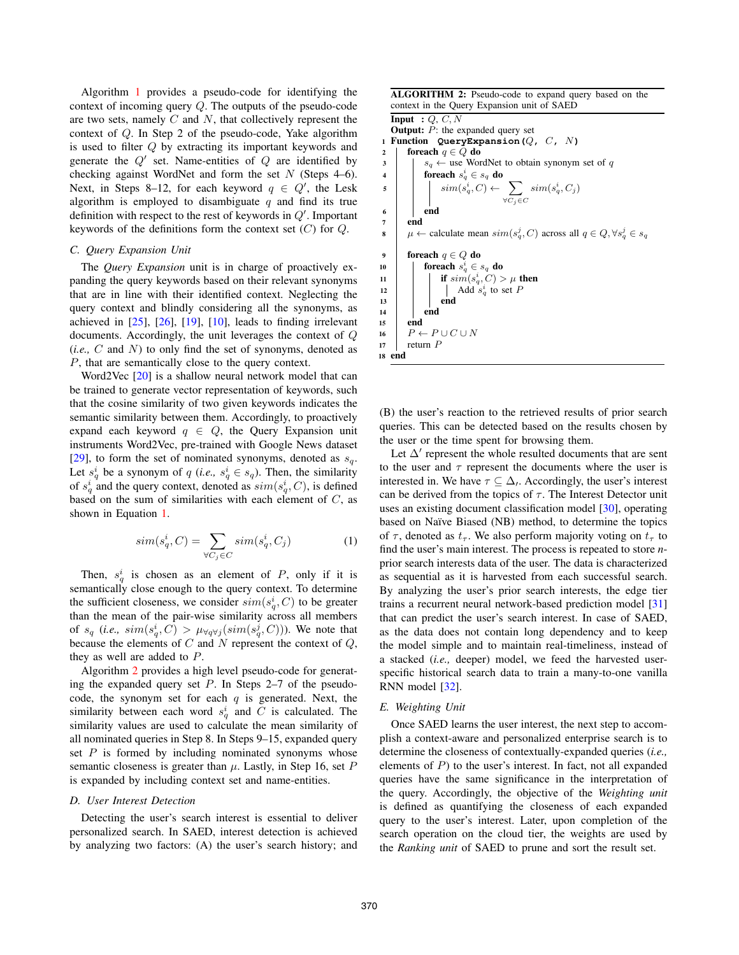Algorithm 1 provides a pseudo-code for identifying the context of incoming query Q. The outputs of the pseudo-code are two sets, namely  $C$  and  $N$ , that collectively represent the context of Q. In Step 2 of the pseudo-code, Yake algorithm is used to filter Q by extracting its important keywords and generate the  $Q'$  set. Name-entities of  $Q$  are identified by checking against WordNet and form the set  $N$  (Steps 4–6). Next, in Steps 8–12, for each keyword  $q \in Q'$ , the Lesk algorithm is employed to disambiguate  $q$  and find its true definition with respect to the rest of keywords in  $Q'$ . Important keywords of the definitions form the context set  $(C)$  for  $Q$ .

## *C. Query Expansion Unit*

The *Query Expansion* unit is in charge of proactively expanding the query keywords based on their relevant synonyms that are in line with their identified context. Neglecting the query context and blindly considering all the synonyms, as achieved in  $[25]$ ,  $[26]$ ,  $[19]$ ,  $[10]$ , leads to finding irrelevant documents. Accordingly, the unit leverages the context of Q (*i.e.,* C and N) to only find the set of synonyms, denoted as P, that are semantically close to the query context.

Word2Vec [20] is a shallow neural network model that can be trained to generate vector representation of keywords, such that the cosine similarity of two given keywords indicates the semantic similarity between them. Accordingly, to proactively expand each keyword  $q \in Q$ , the Query Expansion unit instruments Word2Vec, pre-trained with Google News dataset [29], to form the set of nominated synonyms, denoted as  $s_q$ . Let  $s_q^i$  be a synonym of q (*i.e.*,  $s_q^i \in s_q$ ). Then, the similarity of  $s_q^i$  and the query context, denoted as  $sim(s_q^i, C)$ , is defined based on the sum of similarities with each element of  $C$ , as shown in Equation 1.

$$
sim(s_q^i, C) = \sum_{\forall C_j \in C} sim(s_q^i, C_j)
$$
 (1)

Then,  $s_q^i$  is chosen as an element of P, only if it is semantically close enough to the query context. To determine the sufficient closeness, we consider  $sim(s_q^i, C)$  to be greater than the mean of the pair-wise similarity across all members of  $s_q$  (*i.e.*,  $sim(s_q^i, C) > \mu_{\forall q \forall j}(sim(s_q^j, C))$ ). We note that because the elements of  $C$  and  $N$  represent the context of  $Q$ , they as well are added to P.

Algorithm 2 provides a high level pseudo-code for generating the expanded query set  $P$ . In Steps 2–7 of the pseudocode, the synonym set for each  $q$  is generated. Next, the similarity between each word  $s_q^i$  and C is calculated. The similarity values are used to calculate the mean similarity of all nominated queries in Step 8. In Steps 9–15, expanded query set  $P$  is formed by including nominated synonyms whose semantic closeness is greater than  $\mu$ . Lastly, in Step 16, set P is expanded by including context set and name-entities.

#### *D. User Interest Detection*

Detecting the user's search interest is essential to deliver personalized search. In SAED, interest detection is achieved by analyzing two factors: (A) the user's search history; and ALGORITHM 2: Pseudo-code to expand query based on the context in the Query Expansion unit of SAED

Input :  $Q, C, N$ **Output:**  $P$ : the expanded query set <sup>1</sup> Function **QueryExpansion(**Q**,** C**,** N**)** 2 foreach  $q \in Q$  do  $\begin{array}{c|c|c|c|c} \mathbf{3} & | & s_q \leftarrow \text{use WordNet to obtain synonym set of } q \end{array}$ 4 foreach  $s_q^i \in s_q$  do  $\mathfrak{s}$  | |  $\sin(s_q^i, C) \leftarrow \sum$  $\forall C_j ∈ C$  $sim(s_q^i, C_j)$ 6 | end <sup>7</sup> end 8  $\mu$  ← calculate mean  $sim(s_q^j, C)$  across all  $q \in Q, \forall s_q^j \in s_q$ 9 foreach  $q \in Q$  do 10 **foreach**  $s_q^i \in s_q$  do 11 | | if  $\text{sim}(s_q^i, C) > \mu$  then 12 | |  $\operatorname{Add} s_q^i$  to set P  $13$   $\parallel$   $\parallel$  end  $14$  end <sup>15</sup> end 16  $P \leftarrow P \cup C \cup N$ <br>17 return P return  $P$ <sup>18</sup> end

(B) the user's reaction to the retrieved results of prior search queries. This can be detected based on the results chosen by the user or the time spent for browsing them.

Let  $\Delta'$  represent the whole resulted documents that are sent to the user and  $\tau$  represent the documents where the user is interested in. We have  $\tau \subseteq \Delta$ , Accordingly, the user's interest can be derived from the topics of  $\tau$ . The Interest Detector unit uses an existing document classification model [30], operating based on Naïve Biased (NB) method, to determine the topics of  $\tau$ , denoted as  $t_{\tau}$ . We also perform majority voting on  $t_{\tau}$  to find the user's main interest. The process is repeated to store *n*prior search interests data of the user. The data is characterized as sequential as it is harvested from each successful search. By analyzing the user's prior search interests, the edge tier trains a recurrent neural network-based prediction model [31] that can predict the user's search interest. In case of SAED, as the data does not contain long dependency and to keep the model simple and to maintain real-timeliness, instead of a stacked (*i.e.,* deeper) model, we feed the harvested userspecific historical search data to train a many-to-one vanilla RNN model [32].

## *E. Weighting Unit*

Once SAED learns the user interest, the next step to accomplish a context-aware and personalized enterprise search is to determine the closeness of contextually-expanded queries (*i.e.,* elements of  $P$ ) to the user's interest. In fact, not all expanded queries have the same significance in the interpretation of the query. Accordingly, the objective of the *Weighting unit* is defined as quantifying the closeness of each expanded query to the user's interest. Later, upon completion of the search operation on the cloud tier, the weights are used by the *Ranking unit* of SAED to prune and sort the result set.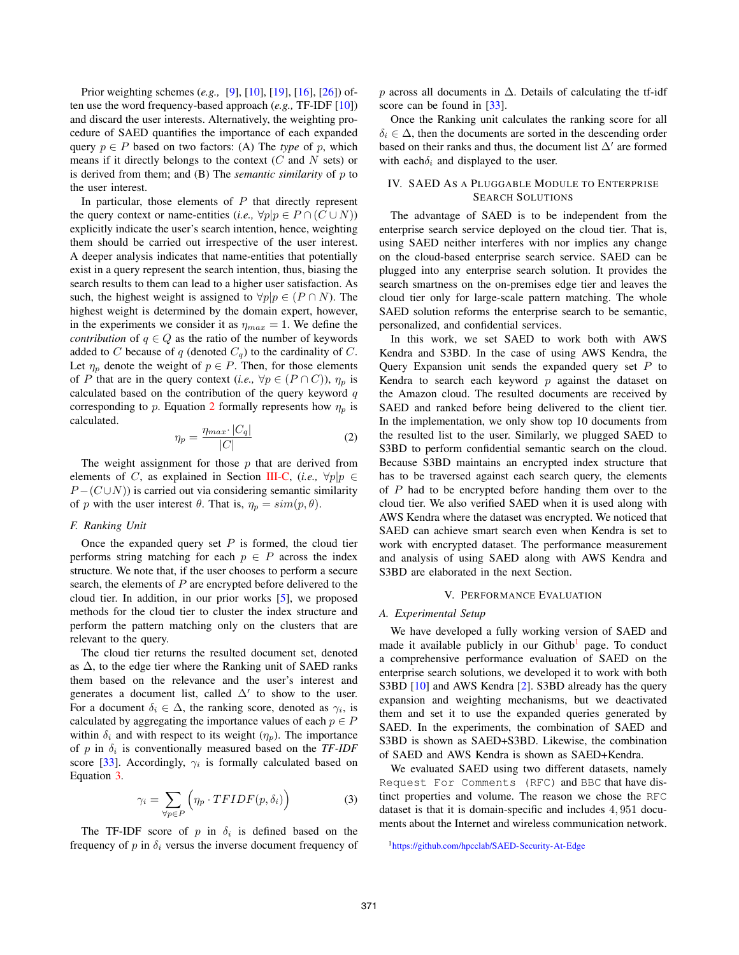Prior weighting schemes (*e.g.,* [9], [10], [19], [16], [26]) often use the word frequency-based approach (*e.g.,* TF-IDF [10]) and discard the user interests. Alternatively, the weighting procedure of SAED quantifies the importance of each expanded query  $p \in P$  based on two factors: (A) The *type* of p, which means if it directly belongs to the context  $(C \text{ and } N \text{ sets})$  or is derived from them; and (B) The *semantic similarity* of p to the user interest.

In particular, those elements of  $P$  that directly represent the query context or name-entities (*i.e.*,  $\forall p | p \in P \cap (C \cup N)$ ) explicitly indicate the user's search intention, hence, weighting them should be carried out irrespective of the user interest. A deeper analysis indicates that name-entities that potentially exist in a query represent the search intention, thus, biasing the search results to them can lead to a higher user satisfaction. As such, the highest weight is assigned to  $\forall p | p \in (P \cap N)$ . The highest weight is determined by the domain expert, however, in the experiments we consider it as  $\eta_{max} = 1$ . We define the *contribution* of  $q \in Q$  as the ratio of the number of keywords added to C because of q (denoted  $C_q$ ) to the cardinality of C. Let  $\eta_p$  denote the weight of  $p \in P$ . Then, for those elements of P that are in the query context (*i.e.*,  $\forall p \in (P \cap C)$ ),  $\eta_p$  is calculated based on the contribution of the query keyword  $q$ corresponding to p. Equation 2 formally represents how  $\eta_p$  is calculated.

$$
\eta_p = \frac{\eta_{max} \cdot |C_q|}{|C|} \tag{2}
$$

The weight assignment for those  $p$  that are derived from elements of C, as explained in Section III-C, (*i.e.*,  $\forall p | p \in$  $P - (C \cup N)$ ) is carried out via considering semantic similarity of p with the user interest  $\theta$ . That is,  $\eta_p = sim(p, \theta)$ .

#### *F. Ranking Unit*

Once the expanded query set  $P$  is formed, the cloud tier performs string matching for each  $p \in P$  across the index structure. We note that, if the user chooses to perform a secure search, the elements of  $P$  are encrypted before delivered to the cloud tier. In addition, in our prior works [5], we proposed methods for the cloud tier to cluster the index structure and perform the pattern matching only on the clusters that are relevant to the query.

The cloud tier returns the resulted document set, denoted as  $\Delta$ , to the edge tier where the Ranking unit of SAED ranks them based on the relevance and the user's interest and generates a document list, called  $\Delta'$  to show to the user. For a document  $\delta_i \in \Delta$ , the ranking score, denoted as  $\gamma_i$ , is calculated by aggregating the importance values of each  $p \in P$ within  $\delta_i$  and with respect to its weight  $(\eta_p)$ . The importance of  $p$  in  $\delta_i$  is conventionally measured based on the *TF-IDF* score [33]. Accordingly,  $\gamma_i$  is formally calculated based on Equation 3.

$$
\gamma_i = \sum_{\forall p \in P} \left( \eta_p \cdot TFIDF(p, \delta_i) \right) \tag{3}
$$

The TF-IDF score of p in  $\delta_i$  is defined based on the frequency of p in  $\delta_i$  versus the inverse document frequency of p across all documents in  $\Delta$ . Details of calculating the tf-idf score can be found in [33].

Once the Ranking unit calculates the ranking score for all  $\delta_i \in \Delta$ , then the documents are sorted in the descending order based on their ranks and thus, the document list  $\Delta'$  are formed with each $\delta_i$  and displayed to the user.

## IV. SAED AS A PLUGGABLE MODULE TO ENTERPRISE SEARCH SOLUTIONS

The advantage of SAED is to be independent from the enterprise search service deployed on the cloud tier. That is, using SAED neither interferes with nor implies any change on the cloud-based enterprise search service. SAED can be plugged into any enterprise search solution. It provides the search smartness on the on-premises edge tier and leaves the cloud tier only for large-scale pattern matching. The whole SAED solution reforms the enterprise search to be semantic, personalized, and confidential services.

In this work, we set SAED to work both with AWS Kendra and S3BD. In the case of using AWS Kendra, the Query Expansion unit sends the expanded query set  $P$  to Kendra to search each keyword  $p$  against the dataset on the Amazon cloud. The resulted documents are received by SAED and ranked before being delivered to the client tier. In the implementation, we only show top 10 documents from the resulted list to the user. Similarly, we plugged SAED to S3BD to perform confidential semantic search on the cloud. Because S3BD maintains an encrypted index structure that has to be traversed against each search query, the elements of  $P$  had to be encrypted before handing them over to the cloud tier. We also verified SAED when it is used along with AWS Kendra where the dataset was encrypted. We noticed that SAED can achieve smart search even when Kendra is set to work with encrypted dataset. The performance measurement and analysis of using SAED along with AWS Kendra and S3BD are elaborated in the next Section.

## V. PERFORMANCE EVALUATION

#### *A. Experimental Setup*

We have developed a fully working version of SAED and made it available publicly in our Github<sup>1</sup> page. To conduct a comprehensive performance evaluation of SAED on the enterprise search solutions, we developed it to work with both S3BD [10] and AWS Kendra [2]. S3BD already has the query expansion and weighting mechanisms, but we deactivated them and set it to use the expanded queries generated by SAED. In the experiments, the combination of SAED and S3BD is shown as SAED+S3BD. Likewise, the combination of SAED and AWS Kendra is shown as SAED+Kendra.

We evaluated SAED using two different datasets, namely Request For Comments (RFC) and BBC that have distinct properties and volume. The reason we chose the RFC dataset is that it is domain-specific and includes 4, 951 documents about the Internet and wireless communication network.

<sup>1</sup>https://github.com/hpcclab/SAED-Security-At-Edge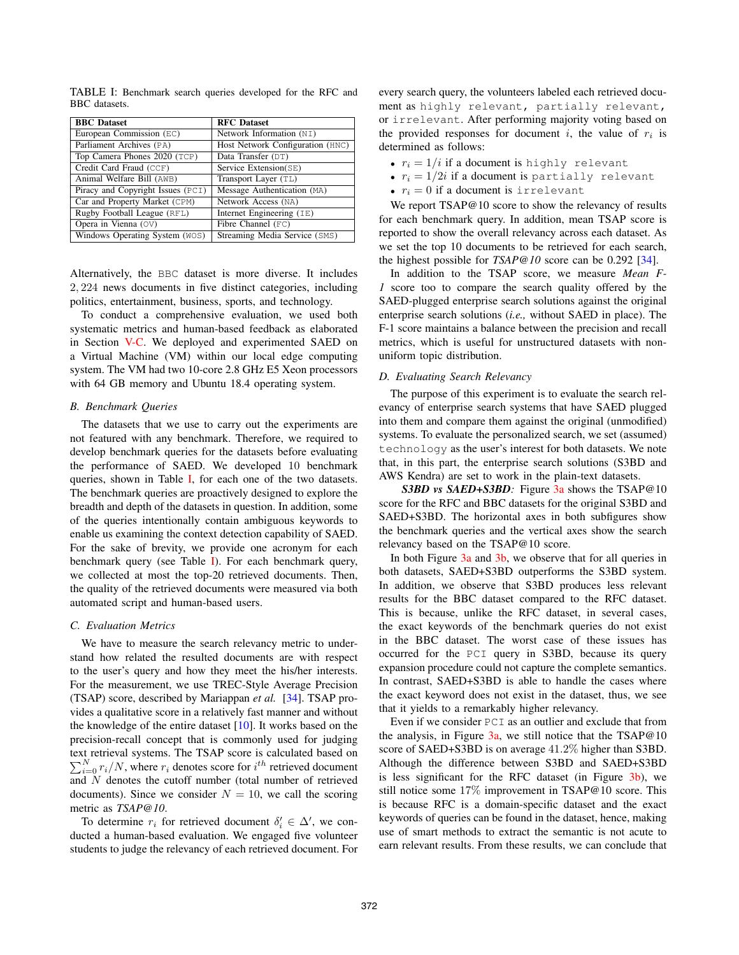| <b>BBC</b> Dataset                | <b>RFC</b> Dataset               |
|-----------------------------------|----------------------------------|
|                                   |                                  |
| European Commission (EC)          | Network Information (NI)         |
| Parliament Archives (PA)          | Host Network Configuration (HNC) |
| Top Camera Phones 2020 (TCP)      | Data Transfer (DT)               |
| Credit Card Fraud (CCF)           | Service Extension(SE)            |
| Animal Welfare Bill (AWB)         | Transport Layer (TL)             |
| Piracy and Copyright Issues (PCI) | Message Authentication (MA)      |
| Car and Property Market (CPM)     | Network Access (NA)              |
| Rugby Football League (RFL)       | Internet Engineering $(IE)$      |
| Opera in Vienna $(0V)$            | Fibre Channel (FC)               |
| Windows Operating System (WOS)    | Streaming Media Service (SMS)    |

TABLE I: Benchmark search queries developed for the RFC and BBC datasets.

Alternatively, the BBC dataset is more diverse. It includes 2, 224 news documents in five distinct categories, including politics, entertainment, business, sports, and technology.

To conduct a comprehensive evaluation, we used both systematic metrics and human-based feedback as elaborated in Section V-C. We deployed and experimented SAED on a Virtual Machine (VM) within our local edge computing system. The VM had two 10-core 2.8 GHz E5 Xeon processors with 64 GB memory and Ubuntu 18.4 operating system.

#### *B. Benchmark Queries*

The datasets that we use to carry out the experiments are not featured with any benchmark. Therefore, we required to develop benchmark queries for the datasets before evaluating the performance of SAED. We developed 10 benchmark queries, shown in Table I, for each one of the two datasets. The benchmark queries are proactively designed to explore the breadth and depth of the datasets in question. In addition, some of the queries intentionally contain ambiguous keywords to enable us examining the context detection capability of SAED. For the sake of brevity, we provide one acronym for each benchmark query (see Table I). For each benchmark query, we collected at most the top-20 retrieved documents. Then, the quality of the retrieved documents were measured via both automated script and human-based users.

#### *C. Evaluation Metrics*

We have to measure the search relevancy metric to understand how related the resulted documents are with respect to the user's query and how they meet the his/her interests. For the measurement, we use TREC-Style Average Precision (TSAP) score, described by Mariappan *et al.* [34]. TSAP provides a qualitative score in a relatively fast manner and without the knowledge of the entire dataset [10]. It works based on the precision-recall concept that is commonly used for judging text retrieval systems. The TSAP score is calculated based on  $\sum_{i=0}^{N} r_i/N$ , where  $r_i$  denotes score for  $i^{th}$  retrieved document and N denotes the cutoff number (total number of retrieved documents). Since we consider  $N = 10$ , we call the scoring metric as *TSAP@10*.

To determine  $r_i$  for retrieved document  $\delta_i' \in \Delta'$ , we conducted a human-based evaluation. We engaged five volunteer students to judge the relevancy of each retrieved document. For every search query, the volunteers labeled each retrieved document as highly relevant, partially relevant, or irrelevant. After performing majority voting based on the provided responses for document i, the value of  $r_i$  is determined as follows:

- $r_i = 1/i$  if a document is highly relevant
- $r_i = 1/2i$  if a document is partially relevant
- $r_i = 0$  if a document is irrelevant

We report TSAP@10 score to show the relevancy of results for each benchmark query. In addition, mean TSAP score is reported to show the overall relevancy across each dataset. As we set the top 10 documents to be retrieved for each search, the highest possible for *TSAP@10* score can be 0.292 [34].

In addition to the TSAP score, we measure *Mean F-1* score too to compare the search quality offered by the SAED-plugged enterprise search solutions against the original enterprise search solutions (*i.e.,* without SAED in place). The F-1 score maintains a balance between the precision and recall metrics, which is useful for unstructured datasets with nonuniform topic distribution.

#### *D. Evaluating Search Relevancy*

The purpose of this experiment is to evaluate the search relevancy of enterprise search systems that have SAED plugged into them and compare them against the original (unmodified) systems. To evaluate the personalized search, we set (assumed) technology as the user's interest for both datasets. We note that, in this part, the enterprise search solutions (S3BD and AWS Kendra) are set to work in the plain-text datasets.

*S3BD vs SAED+S3BD:* Figure 3a shows the TSAP@10 score for the RFC and BBC datasets for the original S3BD and SAED+S3BD. The horizontal axes in both subfigures show the benchmark queries and the vertical axes show the search relevancy based on the TSAP@10 score.

In both Figure 3a and 3b, we observe that for all queries in both datasets, SAED+S3BD outperforms the S3BD system. In addition, we observe that S3BD produces less relevant results for the BBC dataset compared to the RFC dataset. This is because, unlike the RFC dataset, in several cases, the exact keywords of the benchmark queries do not exist in the BBC dataset. The worst case of these issues has occurred for the PCI query in S3BD, because its query expansion procedure could not capture the complete semantics. In contrast, SAED+S3BD is able to handle the cases where the exact keyword does not exist in the dataset, thus, we see that it yields to a remarkably higher relevancy.

Even if we consider PCI as an outlier and exclude that from the analysis, in Figure  $3a$ , we still notice that the TSAP@10 score of SAED+S3BD is on average 41.2% higher than S3BD. Although the difference between S3BD and SAED+S3BD is less significant for the RFC dataset (in Figure 3b), we still notice some 17% improvement in TSAP@10 score. This is because RFC is a domain-specific dataset and the exact keywords of queries can be found in the dataset, hence, making use of smart methods to extract the semantic is not acute to earn relevant results. From these results, we can conclude that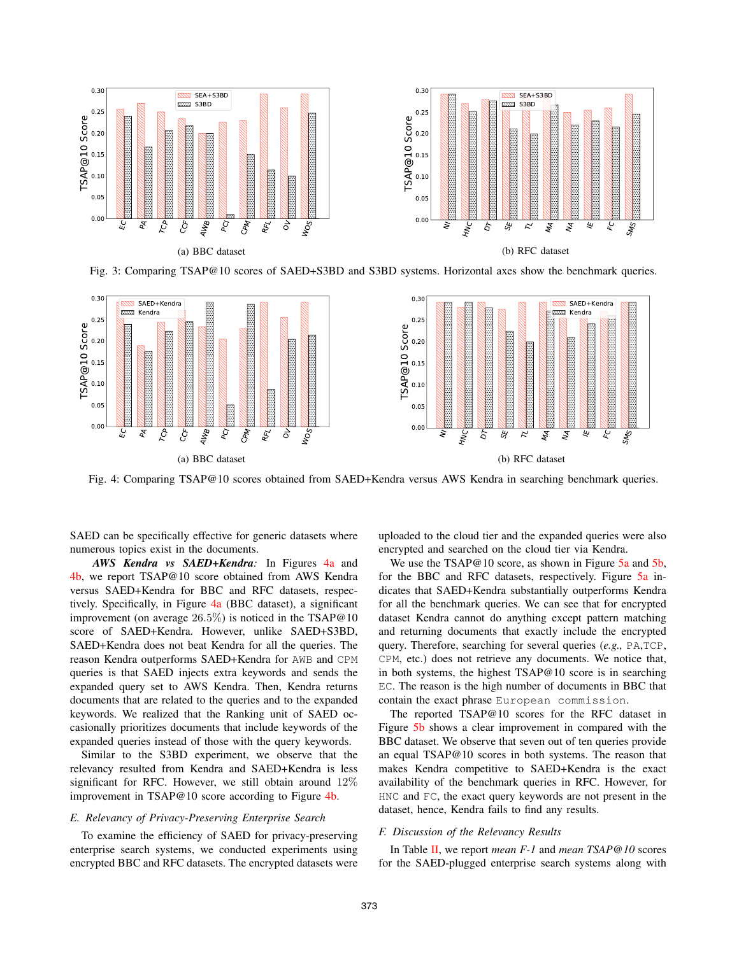

Fig. 3: Comparing TSAP@10 scores of SAED+S3BD and S3BD systems. Horizontal axes show the benchmark queries.



Fig. 4: Comparing TSAP@10 scores obtained from SAED+Kendra versus AWS Kendra in searching benchmark queries.

SAED can be specifically effective for generic datasets where numerous topics exist in the documents.

*AWS Kendra vs SAED+Kendra:* In Figures 4a and 4b, we report TSAP@10 score obtained from AWS Kendra versus SAED+Kendra for BBC and RFC datasets, respectively. Specifically, in Figure 4a (BBC dataset), a significant improvement (on average 26.5%) is noticed in the TSAP@10 score of SAED+Kendra. However, unlike SAED+S3BD, SAED+Kendra does not beat Kendra for all the queries. The reason Kendra outperforms SAED+Kendra for AWB and CPM queries is that SAED injects extra keywords and sends the expanded query set to AWS Kendra. Then, Kendra returns documents that are related to the queries and to the expanded keywords. We realized that the Ranking unit of SAED occasionally prioritizes documents that include keywords of the expanded queries instead of those with the query keywords.

Similar to the S3BD experiment, we observe that the relevancy resulted from Kendra and SAED+Kendra is less significant for RFC. However, we still obtain around 12% improvement in TSAP@10 score according to Figure 4b.

## *E. Relevancy of Privacy-Preserving Enterprise Search*

To examine the efficiency of SAED for privacy-preserving enterprise search systems, we conducted experiments using encrypted BBC and RFC datasets. The encrypted datasets were

uploaded to the cloud tier and the expanded queries were also encrypted and searched on the cloud tier via Kendra.

We use the TSAP@10 score, as shown in Figure 5a and 5b, for the BBC and RFC datasets, respectively. Figure 5a indicates that SAED+Kendra substantially outperforms Kendra for all the benchmark queries. We can see that for encrypted dataset Kendra cannot do anything except pattern matching and returning documents that exactly include the encrypted query. Therefore, searching for several queries (*e.g.,* PA,TCP, CPM, etc.) does not retrieve any documents. We notice that, in both systems, the highest TSAP@10 score is in searching EC. The reason is the high number of documents in BBC that contain the exact phrase European commission.

The reported TSAP@10 scores for the RFC dataset in Figure 5b shows a clear improvement in compared with the BBC dataset. We observe that seven out of ten queries provide an equal TSAP@10 scores in both systems. The reason that makes Kendra competitive to SAED+Kendra is the exact availability of the benchmark queries in RFC. However, for HNC and FC, the exact query keywords are not present in the dataset, hence, Kendra fails to find any results.

## *F. Discussion of the Relevancy Results*

In Table II, we report *mean F-1* and *mean TSAP@10* scores for the SAED-plugged enterprise search systems along with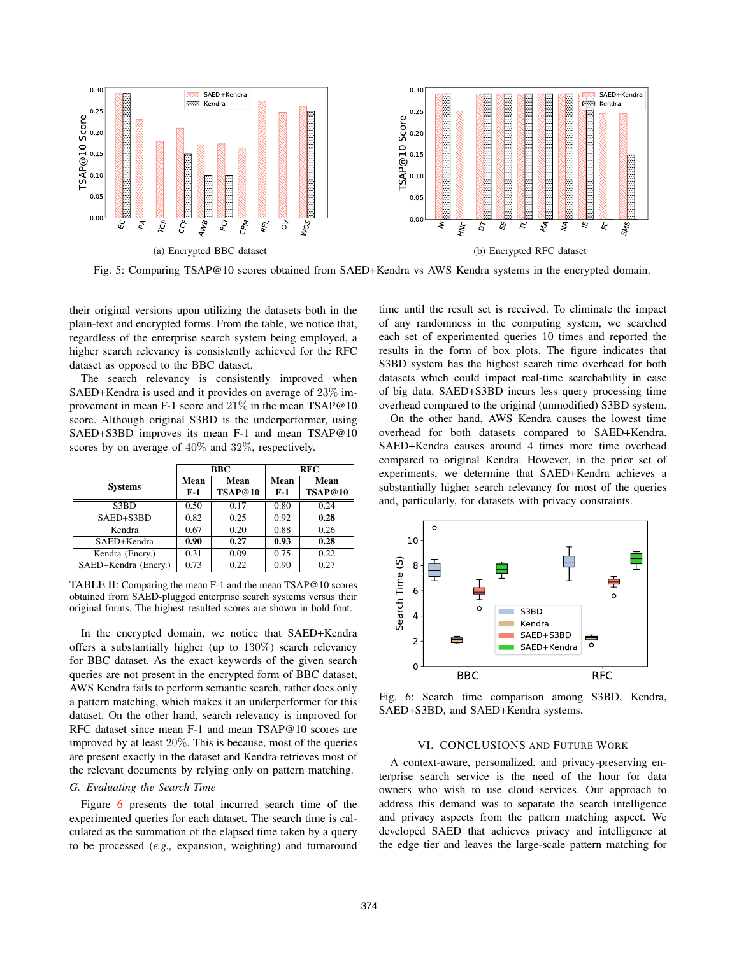

Fig. 5: Comparing TSAP@10 scores obtained from SAED+Kendra vs AWS Kendra systems in the encrypted domain.

their original versions upon utilizing the datasets both in the plain-text and encrypted forms. From the table, we notice that, regardless of the enterprise search system being employed, a higher search relevancy is consistently achieved for the RFC dataset as opposed to the BBC dataset.

The search relevancy is consistently improved when SAED+Kendra is used and it provides on average of 23% improvement in mean F-1 score and 21% in the mean TSAP@10 score. Although original S3BD is the underperformer, using SAED+S3BD improves its mean F-1 and mean TSAP@10 scores by on average of 40% and 32%, respectively.

|                      | <b>BBC</b>  |                 | <b>RFC</b>    |                 |
|----------------------|-------------|-----------------|---------------|-----------------|
| <b>Systems</b>       | Mean<br>F-1 | Mean<br>TSAP@10 | Mean<br>$F-1$ | Mean<br>TSAP@10 |
| S3BD                 | 0.50        | 0.17            | 0.80          | 0.24            |
| SAED+S3BD            | 0.82        | 0.25            | 0.92          | 0.28            |
| Kendra               | 0.67        | 0.20            | 0.88          | 0.26            |
| SAED+Kendra          | 0.90        | 0.27            | 0.93          | 0.28            |
| Kendra (Encry.)      | 0.31        | 0.09            | 0.75          | 0.22            |
| SAED+Kendra (Encry.) | 0.73        | 0.22            | 0.90          | 0.27            |

TABLE II: Comparing the mean F-1 and the mean TSAP@10 scores obtained from SAED-plugged enterprise search systems versus their original forms. The highest resulted scores are shown in bold font.

In the encrypted domain, we notice that SAED+Kendra offers a substantially higher (up to 130%) search relevancy for BBC dataset. As the exact keywords of the given search queries are not present in the encrypted form of BBC dataset, AWS Kendra fails to perform semantic search, rather does only a pattern matching, which makes it an underperformer for this dataset. On the other hand, search relevancy is improved for RFC dataset since mean F-1 and mean TSAP@10 scores are improved by at least 20%. This is because, most of the queries are present exactly in the dataset and Kendra retrieves most of the relevant documents by relying only on pattern matching.

# *G. Evaluating the Search Time*

Figure 6 presents the total incurred search time of the experimented queries for each dataset. The search time is calculated as the summation of the elapsed time taken by a query to be processed (*e.g.,* expansion, weighting) and turnaround time until the result set is received. To eliminate the impact of any randomness in the computing system, we searched each set of experimented queries 10 times and reported the results in the form of box plots. The figure indicates that S3BD system has the highest search time overhead for both datasets which could impact real-time searchability in case of big data. SAED+S3BD incurs less query processing time overhead compared to the original (unmodified) S3BD system.

On the other hand, AWS Kendra causes the lowest time overhead for both datasets compared to SAED+Kendra. SAED+Kendra causes around 4 times more time overhead compared to original Kendra. However, in the prior set of experiments, we determine that SAED+Kendra achieves a substantially higher search relevancy for most of the queries and, particularly, for datasets with privacy constraints.



Fig. 6: Search time comparison among S3BD, Kendra, SAED+S3BD, and SAED+Kendra systems.

## VI. CONCLUSIONS AND FUTURE WORK

A context-aware, personalized, and privacy-preserving enterprise search service is the need of the hour for data owners who wish to use cloud services. Our approach to address this demand was to separate the search intelligence and privacy aspects from the pattern matching aspect. We developed SAED that achieves privacy and intelligence at the edge tier and leaves the large-scale pattern matching for